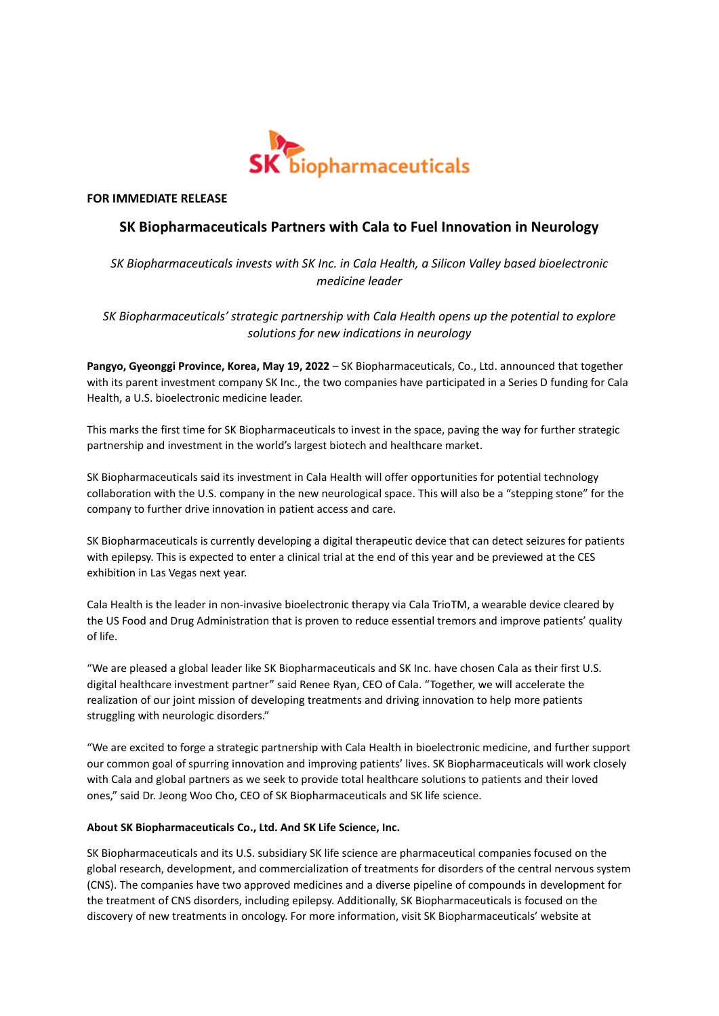

**FOR IMMEDIATE RELEASE**

## **SK Biopharmaceuticals Partners with Cala to Fuel Innovation in Neurology**

*SK Biopharmaceuticals invests with SK Inc. in Cala Health, a Silicon Valley based bioelectronic medicine leader*

*SK Biopharmaceuticals' strategic partnership with Cala Health opens up the potential to explore solutions for new indications in neurology*

**Pangyo, Gyeonggi Province, Korea, May 19, 2022** – SK Biopharmaceuticals, Co., Ltd. announced that together with its parent investment company SK Inc., the two companies have participated in a Series D funding for Cala Health, a U.S. bioelectronic medicine leader.

This marks the first time for SK Biopharmaceuticals to invest in the space, paving the way for further strategic partnership and investment in the world's largest biotech and healthcare market.

SK Biopharmaceuticals said its investment in Cala Health will offer opportunities for potential technology collaboration with the U.S. company in the new neurological space. This will also be a "stepping stone" for the company to further drive innovation in patient access and care.

SK Biopharmaceuticals is currently developing a digital therapeutic device that can detect seizures for patients with epilepsy. This is expected to enter a clinical trial at the end of this year and be previewed at the CES exhibition in Las Vegas next year.

Cala Health is the leader in non-invasive bioelectronic therapy via Cala TrioTM, a wearable device cleared by the US Food and Drug Administration that is proven to reduce essential tremors and improve patients' quality of life.

"We are pleased a global leader like SK Biopharmaceuticals and SK Inc. have chosen Cala as their first U.S. digital healthcare investment partner" said Renee Ryan, CEO of Cala. "Together, we will accelerate the realization of our joint mission of developing treatments and driving innovation to help more patients struggling with neurologic disorders."

"We are excited to forge a strategic partnership with Cala Health in bioelectronic medicine, and further support our common goal of spurring innovation and improving patients' lives. SK Biopharmaceuticals will work closely with Cala and global partners as we seek to provide total healthcare solutions to patients and their loved ones," said Dr. Jeong Woo Cho, CEO of SK Biopharmaceuticals and SK life science.

## **About SK Biopharmaceuticals Co., Ltd. And SK Life Science, Inc.**

SK Biopharmaceuticals and its U.S. subsidiary SK life science are pharmaceutical companies focused on the global research, development, and commercialization of treatments for disorders of the central nervous system (CNS). The companies have two approved medicines and a diverse pipeline of compounds in development for the treatment of CNS disorders, including epilepsy. Additionally, SK Biopharmaceuticals is focused on the discovery of new treatments in oncology. For more information, visit SK Biopharmaceuticals' website at